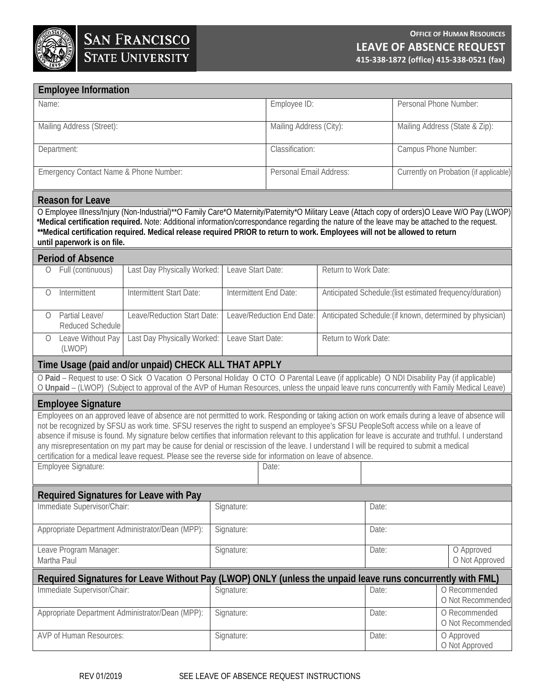

| <b>Employee Information</b>                                                                                                                                                                                                                                                                                                                                                                                                                                    |                                                                                                                          |            |                           |                        |                                                           |                                        |  |
|----------------------------------------------------------------------------------------------------------------------------------------------------------------------------------------------------------------------------------------------------------------------------------------------------------------------------------------------------------------------------------------------------------------------------------------------------------------|--------------------------------------------------------------------------------------------------------------------------|------------|---------------------------|------------------------|-----------------------------------------------------------|----------------------------------------|--|
| Name:                                                                                                                                                                                                                                                                                                                                                                                                                                                          | Employee ID:                                                                                                             |            |                           | Personal Phone Number: |                                                           |                                        |  |
| Mailing Address (Street):                                                                                                                                                                                                                                                                                                                                                                                                                                      |                                                                                                                          |            | Mailing Address (City):   |                        |                                                           | Mailing Address (State & Zip):         |  |
| Department:                                                                                                                                                                                                                                                                                                                                                                                                                                                    |                                                                                                                          |            | Classification:           |                        |                                                           | Campus Phone Number:                   |  |
| Emergency Contact Name & Phone Number:                                                                                                                                                                                                                                                                                                                                                                                                                         |                                                                                                                          |            | Personal Email Address:   |                        |                                                           | Currently on Probation (if applicable) |  |
| <b>Reason for Leave</b>                                                                                                                                                                                                                                                                                                                                                                                                                                        |                                                                                                                          |            |                           |                        |                                                           |                                        |  |
| O Employee Illness/Injury (Non-Industrial)**O Family Care*O Maternity/Paternity*O Military Leave (Attach copy of orders)O Leave W/O Pay (LWOP)<br>*Medical certification required. Note: Additional information/correspondance regarding the nature of the leave may be attached to the request.<br>**Medical certification required. Medical release required PRIOR to return to work. Employees will not be allowed to return<br>until paperwork is on file. |                                                                                                                          |            |                           |                        |                                                           |                                        |  |
| <b>Period of Absence</b>                                                                                                                                                                                                                                                                                                                                                                                                                                       |                                                                                                                          |            |                           |                        |                                                           |                                        |  |
| Full (continuous)<br>0                                                                                                                                                                                                                                                                                                                                                                                                                                         | Last Day Physically Worked:<br>Leave Start Date:                                                                         |            |                           | Return to Work Date:   |                                                           |                                        |  |
| Intermittent<br>0                                                                                                                                                                                                                                                                                                                                                                                                                                              | Intermittent Start Date:                                                                                                 |            | Intermittent End Date:    |                        | Anticipated Schedule: (list estimated frequency/duration) |                                        |  |
| Partial Leave/<br>$\bigcirc$<br>Reduced Schedule                                                                                                                                                                                                                                                                                                                                                                                                               | Leave/Reduction Start Date:                                                                                              |            | Leave/Reduction End Date: |                        | Anticipated Schedule: (if known, determined by physician) |                                        |  |
| Leave Without Pay<br>$\bigcirc$<br>(LWOP)                                                                                                                                                                                                                                                                                                                                                                                                                      | Last Day Physically Worked:                                                                                              |            | Leave Start Date:         |                        | Return to Work Date:                                      |                                        |  |
| Time Usage (paid and/or unpaid) CHECK ALL THAT APPLY                                                                                                                                                                                                                                                                                                                                                                                                           |                                                                                                                          |            |                           |                        |                                                           |                                        |  |
| O Paid - Request to use: O Sick O Vacation O Personal Holiday O CTO O Parental Leave (if applicable) O NDI Disability Pay (if applicable)<br>O Unpaid - (LWOP) (Subject to approval of the AVP of Human Resources, unless the unpaid leave runs concurrently with Family Medical Leave)                                                                                                                                                                        |                                                                                                                          |            |                           |                        |                                                           |                                        |  |
| <b>Employee Signature</b>                                                                                                                                                                                                                                                                                                                                                                                                                                      |                                                                                                                          |            |                           |                        |                                                           |                                        |  |
| Employees on an approved leave of absence are not permitted to work. Responding or taking action on work emails during a leave of absence will                                                                                                                                                                                                                                                                                                                 |                                                                                                                          |            |                           |                        |                                                           |                                        |  |
| not be recognized by SFSU as work time. SFSU reserves the right to suspend an employee's SFSU PeopleSoft access while on a leave of<br>absence if misuse is found. My signature below certifies that information relevant to this application for leave is accurate and truthful. I understand                                                                                                                                                                 |                                                                                                                          |            |                           |                        |                                                           |                                        |  |
| any misrepresentation on my part may be cause for denial or rescission of the leave. I understand I will be required to submit a medical<br>certification for a medical leave request. Please see the reverse side for information on leave of absence.                                                                                                                                                                                                        |                                                                                                                          |            |                           |                        |                                                           |                                        |  |
| Employee Signature:                                                                                                                                                                                                                                                                                                                                                                                                                                            |                                                                                                                          | Date:      |                           |                        |                                                           |                                        |  |
|                                                                                                                                                                                                                                                                                                                                                                                                                                                                |                                                                                                                          |            |                           |                        |                                                           |                                        |  |
| Required Signatures for Leave with Pay                                                                                                                                                                                                                                                                                                                                                                                                                         |                                                                                                                          |            |                           |                        |                                                           |                                        |  |
| Immediate Supervisor/Chair:                                                                                                                                                                                                                                                                                                                                                                                                                                    | Signature:                                                                                                               |            |                           | Date:                  |                                                           |                                        |  |
| Appropriate Department Administrator/Dean (MPP):                                                                                                                                                                                                                                                                                                                                                                                                               |                                                                                                                          | Signature: |                           |                        | Date:                                                     |                                        |  |
| Leave Program Manager:<br>Martha Paul                                                                                                                                                                                                                                                                                                                                                                                                                          |                                                                                                                          | Signature: |                           |                        | O Approved<br>Date:                                       |                                        |  |
| O Not Approved                                                                                                                                                                                                                                                                                                                                                                                                                                                 |                                                                                                                          |            |                           |                        |                                                           |                                        |  |
| Immediate Supervisor/Chair:                                                                                                                                                                                                                                                                                                                                                                                                                                    | Required Signatures for Leave Without Pay (LWOP) ONLY (unless the unpaid leave runs concurrently with FML)<br>Signature: |            |                           | Date:                  | O Recommended                                             |                                        |  |
|                                                                                                                                                                                                                                                                                                                                                                                                                                                                |                                                                                                                          |            |                           |                        |                                                           | O Not Recommended                      |  |
| Appropriate Department Administrator/Dean (MPP):                                                                                                                                                                                                                                                                                                                                                                                                               |                                                                                                                          | Signature: |                           |                        | Date:                                                     | O Recommended<br>O Not Recommended     |  |
| <b>AVP of Human Resources:</b>                                                                                                                                                                                                                                                                                                                                                                                                                                 |                                                                                                                          | Signature: |                           | Date:                  | O Approved<br>O Not Approved                              |                                        |  |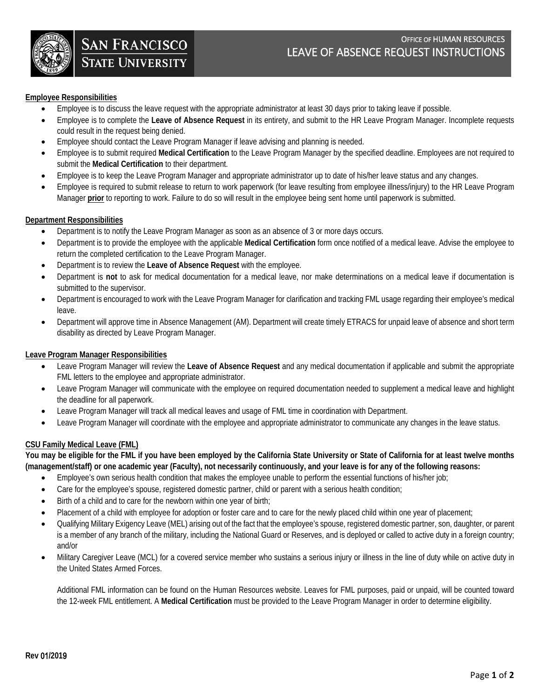

# **Employee Responsibilities**

- Employee is to discuss the leave request with the appropriate administrator at least 30 days prior to taking leave if possible.
- Employee is to complete the **Leave of Absence Request** in its entirety, and submit to the HR Leave Program Manager. Incomplete requests could result in the request being denied.
- Employee should contact the Leave Program Manager if leave advising and planning is needed.
- Employee is to submit required **Medical Certification** to the Leave Program Manager by the specified deadline. Employees are not required to submit the **Medical Certification** to their department.
- Employee is to keep the Leave Program Manager and appropriate administrator up to date of his/her leave status and any changes.
- Employee is required to submit release to return to work paperwork (for leave resulting from employee illness/injury) to the HR Leave Program Manager **prior** to reporting to work. Failure to do so will result in the employee being sent home until paperwork is submitted.

## **Department Responsibilities**

- Department is to notify the Leave Program Manager as soon as an absence of 3 or more days occurs.
- Department is to provide the employee with the applicable **Medical Certification** form once notified of a medical leave. Advise the employee to return the completed certification to the Leave Program Manager.
- Department is to review the **Leave of Absence Request** with the employee.
- Department is **not** to ask for medical documentation for a medical leave, nor make determinations on a medical leave if documentation is submitted to the supervisor.
- Department is encouraged to work with the Leave Program Manager for clarification and tracking FML usage regarding their employee's medical leave.
- Department will approve time in Absence Management (AM). Department will create timely ETRACS for unpaid leave of absence and short term disability as directed by Leave Program Manager.

## **Leave Program Manager Responsibilities**

- Leave Program Manager will review the **Leave of Absence Request** and any medical documentation if applicable and submit the appropriate FML letters to the employee and appropriate administrator.
- Leave Program Manager will communicate with the employee on required documentation needed to supplement a medical leave and highlight the deadline for all paperwork.
- Leave Program Manager will track all medical leaves and usage of FML time in coordination with Department.
- Leave Program Manager will coordinate with the employee and appropriate administrator to communicate any changes in the leave status.

# **CSU Family Medical Leave (FML)**

**You may be eligible for the FML if you have been employed by the California State University or State of California for at least twelve months (management/staff) or one academic year (Faculty), not necessarily continuously, and your leave is for any of the following reasons:** 

- Employee's own serious health condition that makes the employee unable to perform the essential functions of his/her job;
- Care for the employee's spouse, registered domestic partner, child or parent with a serious health condition;
- Birth of a child and to care for the newborn within one year of birth;
- Placement of a child with employee for adoption or foster care and to care for the newly placed child within one year of placement;
- Qualifying Military Exigency Leave (MEL) arising out of the fact that the employee's spouse, registered domestic partner, son, daughter, or parent is a member of any branch of the military, including the National Guard or Reserves, and is deployed or called to active duty in a foreign country; and/or
- Military Caregiver Leave (MCL) for a covered service member who sustains a serious injury or illness in the line of duty while on active duty in the United States Armed Forces.

Additional FML information can be found on the Human Resources website. Leaves for FML purposes, paid or unpaid, will be counted toward the 12-week FML entitlement. A **Medical Certification** must be provided to the Leave Program Manager in order to determine eligibility.